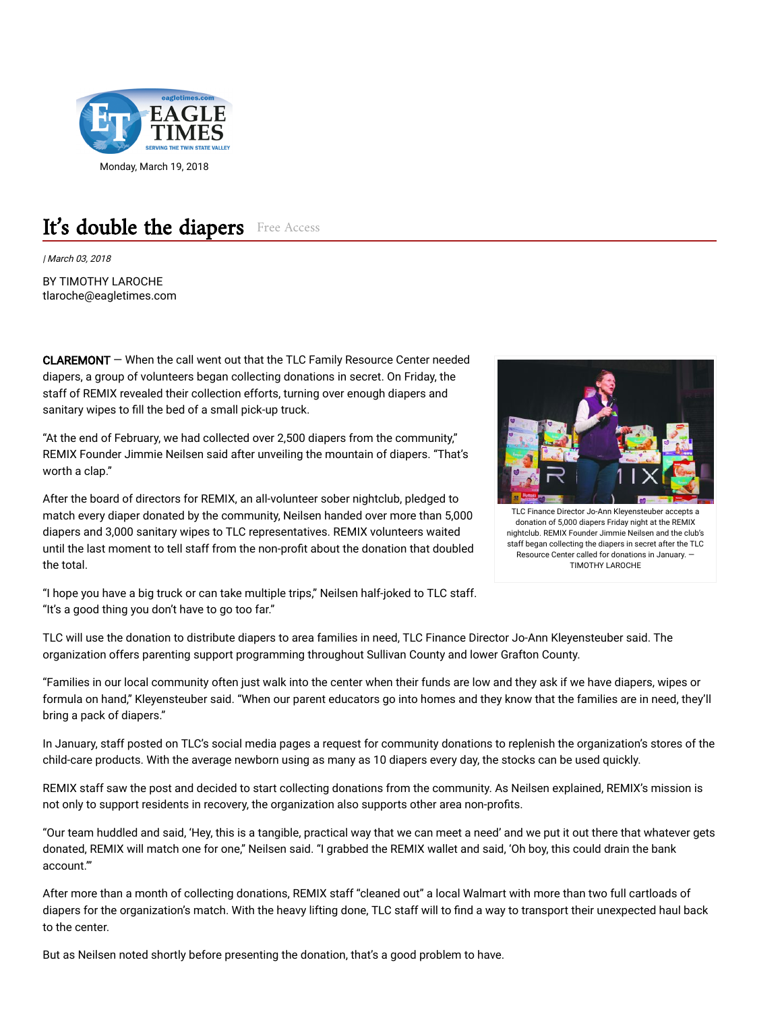

## It's double the diapers Free Access

| March 03, 2018

BY TIMOTHY LAROCHE tlaroche@eagletimes.com

CLAREMONT — When the call went out that the TLC Family Resource Center needed diapers, a group of volunteers began collecting donations in secret. On Friday, the staff of REMIX revealed their collection efforts, turning over enough diapers and sanitary wipes to fill the bed of a small pick-up truck.

"At the end of February, we had collected over 2,500 diapers from the community," REMIX Founder Jimmie Neilsen said after unveiling the mountain of diapers. "That's worth a clap."

After the board of directors for REMIX, an all-volunteer sober nightclub, pledged to match every diaper donated by the community, Neilsen handed over more than 5,000 diapers and 3,000 sanitary wipes to TLC representatives. REMIX volunteers waited until the last moment to tell staff from the non-profit about the donation that doubled the total.



TLC Finance Director Jo-Ann Kleyensteuber accepts a donation of 5,000 diapers Friday night at the REMIX nightclub. REMIX Founder Jimmie Neilsen and the club's staff began collecting the diapers in secret after the TLC Resource Center called for donations in January. — TIMOTHY LAROCHE

"I hope you have a big truck or can take multiple trips," Neilsen half-joked to TLC staff. "It's a good thing you don't have to go too far."

TLC will use the donation to distribute diapers to area families in need, TLC Finance Director Jo-Ann Kleyensteuber said. The organization offers parenting support programming throughout Sullivan County and lower Grafton County.

"Families in our local community often just walk into the center when their funds are low and they ask if we have diapers, wipes or formula on hand," Kleyensteuber said. "When our parent educators go into homes and they know that the families are in need, they'll bring a pack of diapers."

In January, staff posted on TLC's social media pages a request for community donations to replenish the organization's stores of the child-care products. With the average newborn using as many as 10 diapers every day, the stocks can be used quickly.

REMIX staff saw the post and decided to start collecting donations from the community. As Neilsen explained, REMIX's mission is not only to support residents in recovery, the organization also supports other area non-profits.

"Our team huddled and said, 'Hey, this is a tangible, practical way that we can meet a need' and we put it out there that whatever gets donated, REMIX will match one for one," Neilsen said. "I grabbed the REMIX wallet and said, 'Oh boy, this could drain the bank account.'"

After more than a month of collecting donations, REMIX staff "cleaned out" a local Walmart with more than two full cartloads of diapers for the organization's match. With the heavy lifting done, TLC staff will to find a way to transport their unexpected haul back to the center.

But as Neilsen noted shortly before presenting the donation, that's a good problem to have.